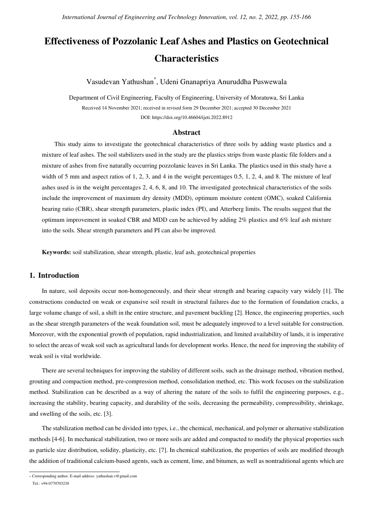# **Effectiveness of Pozzolanic Leaf Ashes and Plastics on Geotechnical Characteristics**

Vasudevan Yathushan\* , Udeni Gnanapriya Anuruddha Puswewala

Department of Civil Engineering, Faculty of Engineering, University of Moratuwa, Sri Lanka Received 14 November 2021; received in revised form 29 December 2021; accepted 30 December 2021 DOI: https://doi.org/10.46604/ijeti.2022.8912

## **Abstract**

This study aims to investigate the geotechnical characteristics of three soils by adding waste plastics and a mixture of leaf ashes. The soil stabilizers used in the study are the plastics strips from waste plastic file folders and a mixture of ashes from five naturally occurring pozzolanic leaves in Sri Lanka. The plastics used in this study have a width of 5 mm and aspect ratios of 1, 2, 3, and 4 in the weight percentages 0.5, 1, 2, 4, and 8. The mixture of leaf ashes used is in the weight percentages 2, 4, 6, 8, and 10. The investigated geotechnical characteristics of the soils include the improvement of maximum dry density (MDD), optimum moisture content (OMC), soaked California bearing ratio (CBR), shear strength parameters, plastic index (PI), and Atterberg limits. The results suggest that the optimum improvement in soaked CBR and MDD can be achieved by adding 2% plastics and 6% leaf ash mixture into the soils. Shear strength parameters and PI can also be improved.

**Keywords:** soil stabilization, shear strength, plastic, leaf ash, geotechnical properties

# **1. Introduction**

In nature, soil deposits occur non-homogeneously, and their shear strength and bearing capacity vary widely [1]. The constructions conducted on weak or expansive soil result in structural failures due to the formation of foundation cracks, a large volume change of soil, a shift in the entire structure, and pavement buckling [2]. Hence, the engineering properties, such as the shear strength parameters of the weak foundation soil, must be adequately improved to a level suitable for construction. Moreover, with the exponential growth of population, rapid industrialization, and limited availability of lands, it is imperative to select the areas of weak soil such as agricultural lands for development works. Hence, the need for improving the stability of weak soil is vital worldwide.

There are several techniques for improving the stability of different soils, such as the drainage method, vibration method, grouting and compaction method, pre-compression method, consolidation method, etc. This work focuses on the stabilization method. Stabilization can be described as a way of altering the nature of the soils to fulfil the engineering purposes, e.g., increasing the stability, bearing capacity, and durability of the soils, decreasing the permeability, compressibility, shrinkage, and swelling of the soils, etc. [3].

The stabilization method can be divided into types, i.e., the chemical, mechanical, and polymer or alternative stabilization methods [4-6]. In mechanical stabilization, two or more soils are added and compacted to modify the physical properties such as particle size distribution, solidity, plasticity, etc. [7]. In chemical stabilization, the properties of soils are modified through the addition of traditional calcium-based agents, such as cement, lime, and bitumen, as well as nontraditional agents which are

 \* Corresponding author. E-mail address: yathushan.v@gmail.com

Tel.: +94-0770703230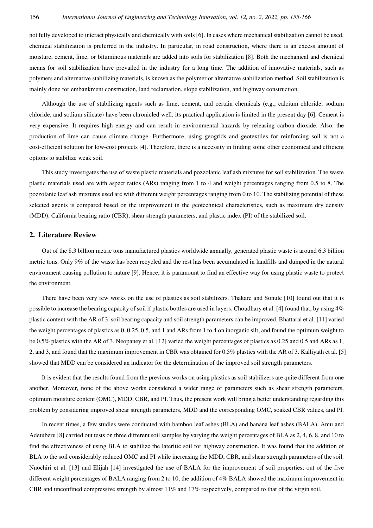not fully developed to interact physically and chemically with soils [6]. In cases where mechanical stabilization cannot be used, chemical stabilization is preferred in the industry. In particular, in road construction, where there is an excess amount of moisture, cement, lime, or bituminous materials are added into soils for stabilization [8]. Both the mechanical and chemical means for soil stabilization have prevailed in the industry for a long time. The addition of innovative materials, such as polymers and alternative stabilizing materials, is known as the polymer or alternative stabilization method. Soil stabilization is mainly done for embankment construction, land reclamation, slope stabilization, and highway construction.

Although the use of stabilizing agents such as lime, cement, and certain chemicals (e.g., calcium chloride, sodium chloride, and sodium silicate) have been chronicled well, its practical application is limited in the present day [6]. Cement is very expensive. It requires high energy and can result in environmental hazards by releasing carbon dioxide. Also, the production of lime can cause climate change. Furthermore, using geogrids and geotextiles for reinforcing soil is not a cost-efficient solution for low-cost projects [4]. Therefore, there is a necessity in finding some other economical and efficient options to stabilize weak soil.

This study investigates the use of waste plastic materials and pozzolanic leaf ash mixtures for soil stabilization. The waste plastic materials used are with aspect ratios (ARs) ranging from 1 to 4 and weight percentages ranging from 0.5 to 8. The pozzolanic leaf ash mixtures used are with different weight percentages ranging from 0 to 10. The stabilizing potential of these selected agents is compared based on the improvement in the geotechnical characteristics, such as maximum dry density (MDD), California bearing ratio (CBR), shear strength parameters, and plastic index (PI) of the stabilized soil.

## **2. Literature Review**

Out of the 8.3 billion metric tons manufactured plastics worldwide annually, generated plastic waste is around 6.3 billion metric tons. Only 9% of the waste has been recycled and the rest has been accumulated in landfills and dumped in the natural environment causing pollution to nature [9]. Hence, it is paramount to find an effective way for using plastic waste to protect the environment.

There have been very few works on the use of plastics as soil stabilizers. Thakare and Sonule [10] found out that it is possible to increase the bearing capacity of soil if plastic bottles are used in layers. Choudhary et al. [4] found that, by using 4% plastic content with the AR of 3, soil bearing capacity and soil strength parameters can be improved. Bhattarai et al. [11] varied the weight percentages of plastics as 0, 0.25, 0.5, and 1 and ARs from 1 to 4 on inorganic silt, and found the optimum weight to be 0.5% plastics with the AR of 3. Neopaney et al. [12] varied the weight percentages of plastics as 0.25 and 0.5 and ARs as 1, 2, and 3, and found that the maximum improvement in CBR was obtained for 0.5% plastics with the AR of 3. Kalliyath et al. [5] showed that MDD can be considered an indicator for the determination of the improved soil strength parameters.

It is evident that the results found from the previous works on using plastics as soil stabilizers are quite different from one another. Moreover, none of the above works considered a wider range of parameters such as shear strength parameters, optimum moisture content (OMC), MDD, CBR, and PI. Thus, the present work will bring a better understanding regarding this problem by considering improved shear strength parameters, MDD and the corresponding OMC, soaked CBR values, and PI.

In recent times, a few studies were conducted with bamboo leaf ashes (BLA) and banana leaf ashes (BALA). Amu and Adetuberu [8] carried out tests on three different soil samples by varying the weight percentages of BLA as 2, 4, 6, 8, and 10 to find the effectiveness of using BLA to stabilize the lateritic soil for highway construction. It was found that the addition of BLA to the soil considerably reduced OMC and PI while increasing the MDD, CBR, and shear strength parameters of the soil. Nnochiri et al. [13] and Elijah [14] investigated the use of BALA for the improvement of soil properties; out of the five different weight percentages of BALA ranging from 2 to 10, the addition of 4% BALA showed the maximum improvement in CBR and unconfined compressive strength by almost 11% and 17% respectively, compared to that of the virgin soil.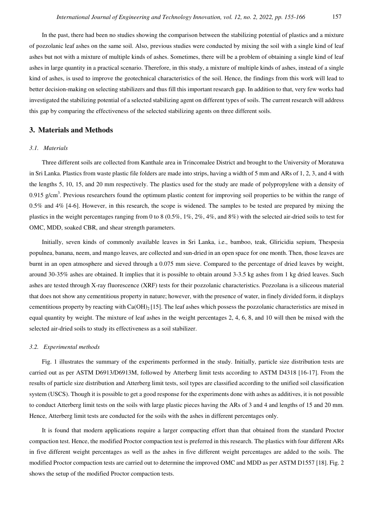In the past, there had been no studies showing the comparison between the stabilizing potential of plastics and a mixture of pozzolanic leaf ashes on the same soil. Also, previous studies were conducted by mixing the soil with a single kind of leaf ashes but not with a mixture of multiple kinds of ashes. Sometimes, there will be a problem of obtaining a single kind of leaf ashes in large quantity in a practical scenario. Therefore, in this study, a mixture of multiple kinds of ashes, instead of a single kind of ashes, is used to improve the geotechnical characteristics of the soil. Hence, the findings from this work will lead to better decision-making on selecting stabilizers and thus fill this important research gap. In addition to that, very few works had investigated the stabilizing potential of a selected stabilizing agent on different types of soils. The current research will address this gap by comparing the effectiveness of the selected stabilizing agents on three different soils.

## **3. Materials and Methods**

## *3.1. Materials*

Three different soils are collected from Kanthale area in Trincomalee District and brought to the University of Moratuwa in Sri Lanka. Plastics from waste plastic file folders are made into strips, having a width of 5 mm and ARs of 1, 2, 3, and 4 with the lengths 5, 10, 15, and 20 mm respectively. The plastics used for the study are made of polypropylene with a density of 0.915 g/cm<sup>3</sup>. Previous researchers found the optimum plastic content for improving soil properties to be within the range of  $0.5\%$  and  $4\%$  [4-6]. However, in this research, the scope is widened. The samples to be tested are prepared by mixing the plastics in the weight percentages ranging from 0 to 8 (0.5%, 1%, 2%, 4%, and 8%) with the selected air-dried soils to test for OMC, MDD, soaked CBR, and shear strength parameters.

Initially, seven kinds of commonly available leaves in Sri Lanka, i.e., bamboo, teak, Gliricidia sepium, Thespesia populnea, banana, neem, and mango leaves, are collected and sun-dried in an open space for one month. Then, those leaves are burnt in an open atmosphere and sieved through a 0.075 mm sieve. Compared to the percentage of dried leaves by weight, around 30-35% ashes are obtained. It implies that it is possible to obtain around 3-3.5 kg ashes from 1 kg dried leaves. Such ashes are tested through X-ray fluorescence (XRF) tests for their pozzolanic characteristics. Pozzolana is a siliceous material that does not show any cementitious property in nature; however, with the presence of water, in finely divided form, it displays cementitious property by reacting with  $Ca(OH)_{2}$  [15]. The leaf ashes which possess the pozzolanic characteristics are mixed in equal quantity by weight. The mixture of leaf ashes in the weight percentages 2, 4, 6, 8, and 10 will then be mixed with the selected air-dried soils to study its effectiveness as a soil stabilizer.

#### *3.2. Experimental methods*

Fig. 1 illustrates the summary of the experiments performed in the study. Initially, particle size distribution tests are carried out as per ASTM D6913/D6913M, followed by Atterberg limit tests according to ASTM D4318 [16-17]. From the results of particle size distribution and Atterberg limit tests, soil types are classified according to the unified soil classification system (USCS). Though it is possible to get a good response for the experiments done with ashes as additives, it is not possible to conduct Atterberg limit tests on the soils with large plastic pieces having the ARs of 3 and 4 and lengths of 15 and 20 mm. Hence, Atterberg limit tests are conducted for the soils with the ashes in different percentages only.

It is found that modern applications require a larger compacting effort than that obtained from the standard Proctor compaction test. Hence, the modified Proctor compaction test is preferred in this research. The plastics with four different ARs in five different weight percentages as well as the ashes in five different weight percentages are added to the soils. The modified Proctor compaction tests are carried out to determine the improved OMC and MDD as per ASTM D1557 [18]. Fig. 2 shows the setup of the modified Proctor compaction tests.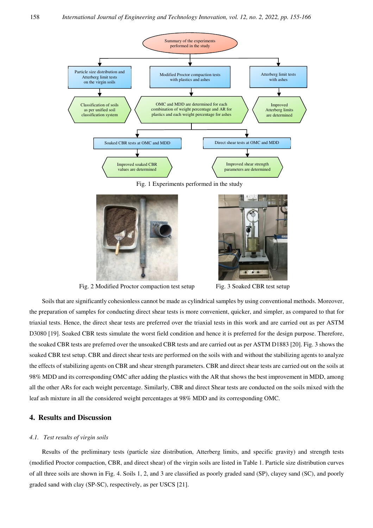

Fig. 1 Experiments performed in the study



Fig. 2 Modified Proctor compaction test setup Fig. 3 Soaked CBR test setup



Soils that are significantly cohesionless cannot be made as cylindrical samples by using conventional methods. Moreover, the preparation of samples for conducting direct shear tests is more convenient, quicker, and simpler, as compared to that for triaxial tests. Hence, the direct shear tests are preferred over the triaxial tests in this work and are carried out as per ASTM D3080 [19]. Soaked CBR tests simulate the worst field condition and hence it is preferred for the design purpose. Therefore, the soaked CBR tests are preferred over the unsoaked CBR tests and are carried out as per ASTM D1883 [20]. Fig. 3 shows the soaked CBR test setup. CBR and direct shear tests are performed on the soils with and without the stabilizing agents to analyze the effects of stabilizing agents on CBR and shear strength parameters. CBR and direct shear tests are carried out on the soils at 98% MDD and its corresponding OMC after adding the plastics with the AR that shows the best improvement in MDD, among all the other ARs for each weight percentage. Similarly, CBR and direct Shear tests are conducted on the soils mixed with the leaf ash mixture in all the considered weight percentages at 98% MDD and its corresponding OMC.

# **4. Results and Discussion**

## *4.1. Test results of virgin soils*

Results of the preliminary tests (particle size distribution, Atterberg limits, and specific gravity) and strength tests (modified Proctor compaction, CBR, and direct shear) of the virgin soils are listed in Table 1. Particle size distribution curves of all three soils are shown in Fig. 4. Soils 1, 2, and 3 are classified as poorly graded sand (SP), clayey sand (SC), and poorly graded sand with clay (SP-SC), respectively, as per USCS [21].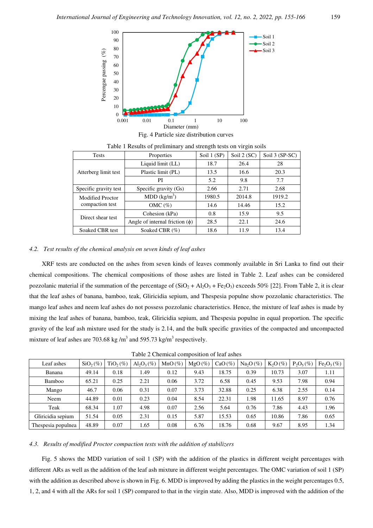

| <b>Tests</b>            | Properties                                                                                                                                          | Soil 1 (SP) | Soil 2 (SC) | Soil 3 (SP-SC) |
|-------------------------|-----------------------------------------------------------------------------------------------------------------------------------------------------|-------------|-------------|----------------|
|                         | Liquid limit (LL)                                                                                                                                   | 18.7        | 26.4        | 28             |
| Atterberg limit test    | Plastic limit (PL)                                                                                                                                  | 13.5        | 16.6        | 20.3           |
|                         | PI<br>Specific gravity (Gs)<br>MDD (kg/m <sup>3</sup> )<br>OMC $(\%)$<br>Cohesion (kPa)<br>Angle of internal friction $(\phi)$<br>Soaked CBR $(\%)$ | 5.2         | 9.8         | 7.7            |
| Specific gravity test   |                                                                                                                                                     | 2.66        | 2.71        | 2.68           |
| <b>Modified Proctor</b> |                                                                                                                                                     | 1980.5      | 2014.8      | 1919.2         |
| compaction test         |                                                                                                                                                     | 14.6        | 14.46       | 15.2           |
| Direct shear test       |                                                                                                                                                     | 0.8         | 15.9        | 9.5            |
|                         |                                                                                                                                                     | 28.5        | 22.1        | 24.6           |
| Soaked CBR test         |                                                                                                                                                     | 18.6        | 11.9        | 13.4           |

Table 1 Results of preliminary and strength tests on virgin soils

#### *4.2. Test results of the chemical analysis on seven kinds of leaf ashes*

XRF tests are conducted on the ashes from seven kinds of leaves commonly available in Sri Lanka to find out their chemical compositions. The chemical compositions of those ashes are listed in Table 2. Leaf ashes can be considered pozzolanic material if the summation of the percentage of  $(SiO<sub>2</sub> + Al<sub>2</sub>O<sub>3</sub> + Fe<sub>2</sub>O<sub>3</sub>)$  exceeds 50% [22]. From Table 2, it is clear that the leaf ashes of banana, bamboo, teak, Gliricidia sepium, and Thespesia populne show pozzolanic characteristics. The mango leaf ashes and neem leaf ashes do not possess pozzolanic characteristics. Hence, the mixture of leaf ashes is made by mixing the leaf ashes of banana, bamboo, teak, Gliricidia sepium, and Thespesia populne in equal proportion. The specific gravity of the leaf ash mixture used for the study is 2.14, and the bulk specific gravities of the compacted and uncompacted mixture of leaf ashes are 703.68 kg/m<sup>3</sup> and 595.73 kg/m<sup>3</sup> respectively.

| Leaf ashes         | $SiO_2(\%)$ | $TiO2(\%)$ | $\text{Al}_2\text{O}_3(\%)$ | $MnO(\%)$ | $MgO(\%)$ | $CaO(\%)$ | $Na2O(\%)$ | $K_2O(\%)$ | $P_2O_5(\%)$ | Fe <sub>2</sub> O <sub>3</sub> (%) |
|--------------------|-------------|------------|-----------------------------|-----------|-----------|-----------|------------|------------|--------------|------------------------------------|
| Banana             | 49.14       | 0.18       | 1.49                        | 0.12      | 9.43      | 18.75     | 0.39       | 10.73      | 3.07         | 1.11                               |
| Bamboo             | 65.21       | 0.25       | 2.21                        | 0.06      | 3.72      | 6.58      | 0.45       | 9.53       | 7.98         | 0.94                               |
| Mango              | 46.7        | 0.06       | 0.31                        | 0.07      | 3.73      | 32.88     | 0.25       | 6.38       | 2.55         | 0.14                               |
| Neem               | 44.89       | 0.01       | 0.23                        | 0.04      | 8.54      | 22.31     | 1.98       | 11.65      | 8.97         | 0.76                               |
| Teak               | 68.34       | 1.07       | 4.98                        | 0.07      | 2.56      | 5.64      | 0.76       | 7.86       | 4.43         | 1.96                               |
| Gliricidia sepium  | 51.54       | 0.05       | 2.31                        | 0.15      | 5.87      | 15.53     | 0.65       | 10.86      | 7.86         | 0.65                               |
| Thespesia populnea | 48.89       | 0.07       | 1.65                        | 0.08      | 6.76      | 18.76     | 0.68       | 9.67       | 8.95         | 1.34                               |

#### *4.3. Results of modified Proctor compaction tests with the addition of stabilizers*

Fig. 5 shows the MDD variation of soil 1 (SP) with the addition of the plastics in different weight percentages with different ARs as well as the addition of the leaf ash mixture in different weight percentages. The OMC variation of soil 1 (SP) with the addition as described above is shown in Fig. 6. MDD is improved by adding the plastics in the weight percentages 0.5, 1, 2, and 4 with all the ARs for soil 1 (SP) compared to that in the virgin state. Also, MDD is improved with the addition of the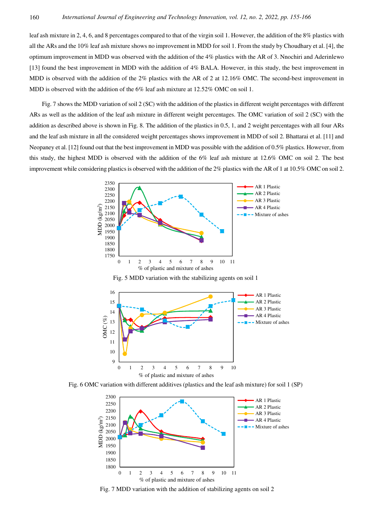leaf ash mixture in 2, 4, 6, and 8 percentages compared to that of the virgin soil 1. However, the addition of the 8% plastics with all the ARs and the 10% leaf ash mixture shows no improvement in MDD for soil 1. From the study by Choudhary et al. [4], the optimum improvement in MDD was observed with the addition of the 4% plastics with the AR of 3. Nnochiri and Aderinlewo [13] found the best improvement in MDD with the addition of 4% BALA. However, in this study, the best improvement in MDD is observed with the addition of the 2% plastics with the AR of 2 at 12.16% OMC. The second-best improvement in MDD is observed with the addition of the 6% leaf ash mixture at 12.52% OMC on soil 1.

Fig. 7 shows the MDD variation of soil 2 (SC) with the addition of the plastics in different weight percentages with different ARs as well as the addition of the leaf ash mixture in different weight percentages. The OMC variation of soil 2 (SC) with the addition as described above is shown in Fig. 8. The addition of the plastics in 0.5, 1, and 2 weight percentages with all four ARs and the leaf ash mixture in all the considered weight percentages shows improvement in MDD of soil 2. Bhattarai et al. [11] and Neopaney et al. [12] found out that the best improvement in MDD was possible with the addition of 0.5% plastics. However, from this study, the highest MDD is observed with the addition of the 6% leaf ash mixture at 12.6% OMC on soil 2. The best improvement while considering plastics is observed with the addition of the 2% plastics with the AR of 1 at 10.5% OMC on soil 2.



Fig. 5 MDD variation with the stabilizing agents on soil 1



Fig. 6 OMC variation with different additives (plastics and the leaf ash mixture) for soil 1 (SP)



Fig. 7 MDD variation with the addition of stabilizing agents on soil 2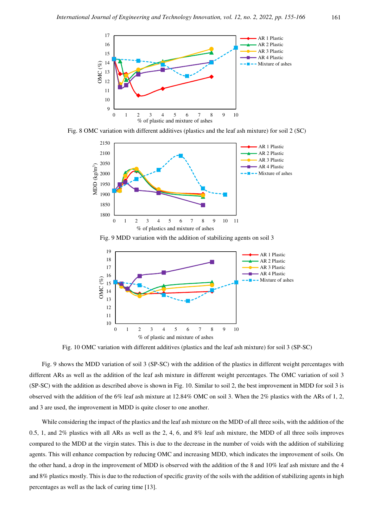

Fig. 8 OMC variation with different additives (plastics and the leaf ash mixture) for soil 2 (SC)



Fig. 9 MDD variation with the addition of stabilizing agents on soil 3



Fig. 10 OMC variation with different additives (plastics and the leaf ash mixture) for soil 3 (SP-SC)

Fig. 9 shows the MDD variation of soil 3 (SP-SC) with the addition of the plastics in different weight percentages with different ARs as well as the addition of the leaf ash mixture in different weight percentages. The OMC variation of soil 3 (SP-SC) with the addition as described above is shown in Fig. 10. Similar to soil 2, the best improvement in MDD for soil 3 is observed with the addition of the 6% leaf ash mixture at 12.84% OMC on soil 3. When the 2% plastics with the ARs of 1, 2, and 3 are used, the improvement in MDD is quite closer to one another.

While considering the impact of the plastics and the leaf ash mixture on the MDD of all three soils, with the addition of the 0.5, 1, and 2% plastics with all ARs as well as the 2, 4, 6, and 8% leaf ash mixture, the MDD of all three soils improves compared to the MDD at the virgin states. This is due to the decrease in the number of voids with the addition of stabilizing agents. This will enhance compaction by reducing OMC and increasing MDD, which indicates the improvement of soils. On the other hand, a drop in the improvement of MDD is observed with the addition of the 8 and 10% leaf ash mixture and the 4 and 8% plastics mostly. This is due to the reduction of specific gravity of the soils with the addition of stabilizing agents in high percentages as well as the lack of curing time [13].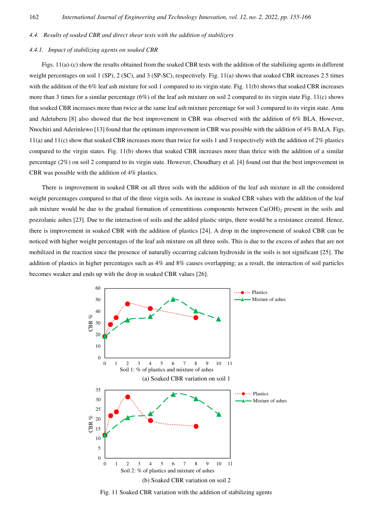#### *4.4. Results of soaked CBR and direct shear tests with the addition of stabilizers*

#### *4.4.1. Impact of stabilizing agents on soaked CBR*

Figs. 11(a)-(c) show the results obtained from the soaked CBR tests with the addition of the stabilizing agents in different weight percentages on soil 1 (SP), 2 (SC), and 3 (SP-SC), respectively. Fig. 11(a) shows that soaked CBR increases 2.5 times with the addition of the 6% leaf ash mixture for soil 1 compared to its virgin state. Fig. 11(b) shows that soaked CBR increases more than 3 times for a similar percentage  $(6%)$  of the leaf ash mixture on soil 2 compared to its virgin state Fig. 11(c) shows that soaked CBR increases more than twice at the same leaf ash mixture percentage for soil 3 compared to its virgin state. Amu and Adetuberu [8] also showed that the best improvement in CBR was observed with the addition of 6% BLA. However, Nnochiri and Aderinlewo [13] found that the optimum improvement in CBR was possible with the addition of 4% BALA. Figs. 11(a) and 11(c) show that soaked CBR increases more than twice for soils 1 and 3 respectively with the addition of 2% plastics compared to the virgin states. Fig. 11(b) shows that soaked CBR increases more than thrice with the addition of a similar percentage (2%) on soil 2 compared to its virgin state. However, Choudhary et al. [4] found out that the best improvement in CBR was possible with the addition of 4% plastics.

There is improvement in soaked CBR on all three soils with the addition of the leaf ash mixture in all the considered weight percentages compared to that of the three virgin soils. An increase in soaked CBR values with the addition of the leaf ash mixture would be due to the gradual formation of cementitious components between  $Ca(OH)_2$  present in the soils and pozzolanic ashes [23]. Due to the interaction of soils and the added plastic strips, there would be a resistance created. Hence, there is improvement in soaked CBR with the addition of plastics [24]. A drop in the improvement of soaked CBR can be noticed with higher weight percentages of the leaf ash mixture on all three soils. This is due to the excess of ashes that are not mobilized in the reaction since the presence of naturally occurring calcium hydroxide in the soils is not significant [25]. The addition of plastics in higher percentages such as 4% and 8% causes overlapping; as a result, the interaction of soil particles becomes weaker and ends up with the drop in soaked CBR values [26].



Fig. 11 Soaked CBR variation with the addition of stabilizing agents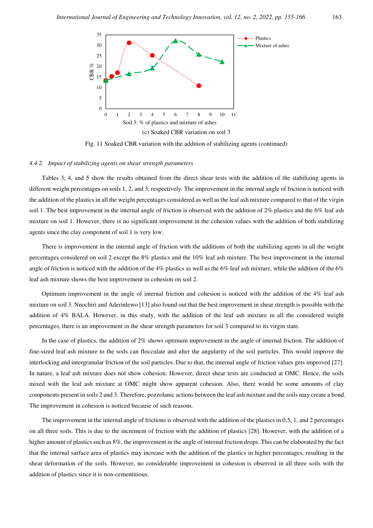

Fig. 11 Soaked CBR variation with the addition of stabilizing agents (continued)

## *4.4.2. Impact of stabilizing agents on shear strength parameters*

Tables 3, 4, and 5 show the results obtained from the direct shear tests with the addition of the stabilizing agents in different weight percentages on soils 1, 2, and 3, respectively. The improvement in the internal angle of friction is noticed with the addition of the plastics in all the weight percentages considered as well as the leaf ash mixture compared to that of the virgin soil 1. The best improvement in the internal angle of friction is observed with the addition of 2% plastics and the 6% leaf ash mixture on soil 1. However, there is no significant improvement in the cohesion values with the addition of both stabilizing agents since the clay component of soil 1 is very low.

There is improvement in the internal angle of friction with the additions of both the stabilizing agents in all the weight percentages considered on soil 2 except the 8% plastics and the 10% leaf ash mixture. The best improvement in the internal angle of friction is noticed with the addition of the 4% plastics as well as the 6% leaf ash mixture, while the addition of the 6% leaf ash mixture shows the best improvement in cohesion on soil 2.

Optimum improvement in the angle of internal friction and cohesion is noticed with the addition of the 4% leaf ash mixture on soil 3. Nnochiri and Aderinlewo [13] also found out that the best improvement in shear strength is possible with the addition of 4% BALA. However, in this study, with the addition of the leaf ash mixture in all the considered weight percentages, there is an improvement in the shear strength parameters for soil 3 compared to its virgin state.

In the case of plastics, the addition of 2% shows optimum improvement in the angle of internal friction. The addition of fine-sized leaf ash mixture to the soils can flocculate and alter the angularity of the soil particles. This would improve the interlocking and intergranular friction of the soil particles. Due to that, the internal angle of friction values gets improved [27]. In nature, a leaf ash mixture does not show cohesion. However, direct shear tests are conducted at OMC. Hence, the soils mixed with the leaf ash mixture at OMC might show apparent cohesion. Also, there would be some amounts of clay components present in soils 2 and 3. Therefore, pozzolanic actions between the leaf ash mixture and the soils may create a bond. The improvement in cohesion is noticed because of such reasons.

The improvement in the internal angle of frictions is observed with the addition of the plastics in 0.5, 1, and 2 percentages on all three soils. This is due to the increment of friction with the addition of plastics [28]. However, with the addition of a higher amount of plastics such as  $8\%$ , the improvement in the angle of internal friction drops. This can be elaborated by the fact that the internal surface area of plastics may increase with the addition of the plastics in higher percentages, resulting in the shear deformation of the soils. However, no considerable improvement in cohesion is observed in all three soils with the addition of plastics since it is non-cementitious.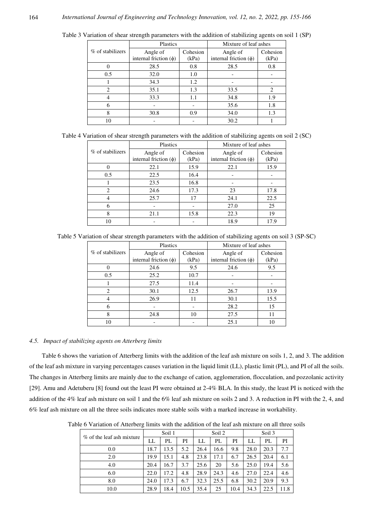|                  | Plastics                                                    |     | Mixture of leaf ashes                  |                   |
|------------------|-------------------------------------------------------------|-----|----------------------------------------|-------------------|
| % of stabilizers | Cohesion<br>Angle of<br>internal friction $(\phi)$<br>(kPa) |     | Angle of<br>internal friction $(\phi)$ | Cohesion<br>(kPa) |
| 0                | 28.5                                                        | 0.8 | 28.5                                   | 0.8               |
| 0.5              | 32.0                                                        | 1.0 |                                        |                   |
|                  | 34.3                                                        | 1.2 |                                        |                   |
| 2                | 35.1                                                        | 1.3 | 33.5                                   | 2                 |
|                  | 33.3                                                        | 1.1 | 34.8                                   | 1.9               |
| 6                |                                                             |     | 35.6                                   | 1.8               |
| 8                | 30.8                                                        | 0.9 | 34.0                                   | 1.3               |
| 10               |                                                             |     | 30.2                                   |                   |

Table 3 Variation of shear strength parameters with the addition of stabilizing agents on soil 1 (SP)

| Table 4 Variation of shear strength parameters with the addition of stabilizing agents on soil 2 (SC) |  |  |  |
|-------------------------------------------------------------------------------------------------------|--|--|--|
|-------------------------------------------------------------------------------------------------------|--|--|--|

|                  | Plastics                   |          | Mixture of leaf ashes      |          |  |
|------------------|----------------------------|----------|----------------------------|----------|--|
| % of stabilizers | Angle of                   | Cohesion | Angle of                   | Cohesion |  |
|                  | internal friction $(\phi)$ | (kPa)    | internal friction $(\phi)$ | (kPa)    |  |
| $\Omega$         | 22.1                       | 15.9     | 22.1                       | 15.9     |  |
| 0.5              | 22.5                       | 16.4     |                            |          |  |
|                  | 23.5                       | 16.8     |                            |          |  |
| $\overline{c}$   | 24.6                       | 17.3     | 23                         | 17.8     |  |
|                  | 25.7                       | 17       | 24.1                       | 22.5     |  |
| 6                |                            |          | 27.0                       | 25       |  |
| 8                | 21.1                       | 15.8     | 22.3                       | 19       |  |
| 10               |                            |          | 18.9                       | 17.9     |  |

Table 5 Variation of shear strength parameters with the addition of stabilizing agents on soil 3 (SP-SC)

|                  | Plastics                   |          | Mixture of leaf ashes      |          |  |  |
|------------------|----------------------------|----------|----------------------------|----------|--|--|
| % of stabilizers | Angle of                   | Cohesion | Angle of                   | Cohesion |  |  |
|                  | internal friction $(\phi)$ | (kPa)    | internal friction $(\phi)$ | (kPa)    |  |  |
|                  | 24.6                       | 9.5      | 24.6                       | 9.5      |  |  |
| 0.5              | 25.2                       | 10.7     |                            |          |  |  |
|                  | 27.5                       | 11.4     |                            |          |  |  |
| 2                | 30.1                       | 12.5     | 26.7                       | 13.9     |  |  |
|                  | 26.9                       | 11       | 30.1                       | 15.5     |  |  |
| 6                |                            |          | 28.2                       | 15       |  |  |
| 8                | 24.8                       | 10       | 27.5                       | 11       |  |  |
| 10               |                            |          | 25.1                       |          |  |  |

## *4.5. Impact of stabilizing agents on Atterberg limits*

164

Table 6 shows the variation of Atterberg limits with the addition of the leaf ash mixture on soils 1, 2, and 3. The addition of the leaf ash mixture in varying percentages causes variation in the liquid limit (LL), plastic limit (PL), and PI of all the soils. The changes in Atterberg limits are mainly due to the exchange of cation, agglomeration, flocculation, and pozzolanic activity [29]. Amu and Adetuberu [8] found out the least PI were obtained at 2-4% BLA. In this study, the least PI is noticed with the addition of the 4% leaf ash mixture on soil 1 and the 6% leaf ash mixture on soils 2 and 3. A reduction in PI with the 2, 4, and 6% leaf ash mixture on all the three soils indicates more stable soils with a marked increase in workability.

Table 6 Variation of Atterberg limits with the addition of the leaf ash mixture on all three soils

| % of the leaf ash mixture |      | Soil 1 |      |      | Soil 2<br>Soil 3 |      |      |      |      |
|---------------------------|------|--------|------|------|------------------|------|------|------|------|
|                           | LL   | PL     | PI   | LL   | PL               | PI   | LL   | PL   | PI   |
| 0.0                       | 18.7 | 13.5   | 5.2  | 26.4 | 16.6             | 9.8  | 28.0 | 20.3 | 7.7  |
| 2.0                       | 19.9 | 15.1   | 4.8  | 23.8 | 17.1             | 6.7  | 26.5 | 20.4 | 6.1  |
| 4.0                       | 20.4 | 16.7   | 3.7  | 25.6 | 20               | 5.6  | 25.0 | 19.4 | 5.6  |
| 6.0                       | 22.0 | 17.2   | 4.8  | 28.9 | 24.3             | 4.6  | 27.0 | 22.4 | 4.6  |
| 8.0                       | 24.0 | 17.3   | 6.7  | 32.3 | 25.5             | 6.8  | 30.2 | 20.9 | 9.3  |
| 10.0                      | 28.9 | 18.4   | 10.5 | 35.4 | 25               | 10.4 | 34.3 | 22.5 | 11.8 |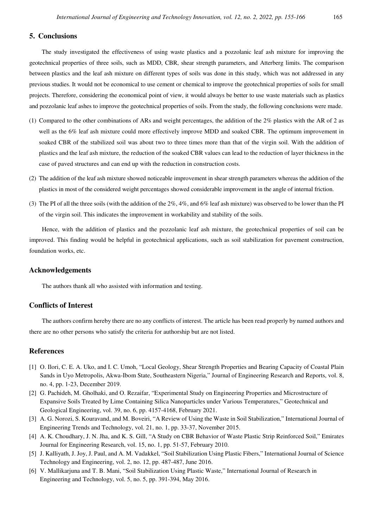# **5. Conclusions**

The study investigated the effectiveness of using waste plastics and a pozzolanic leaf ash mixture for improving the geotechnical properties of three soils, such as MDD, CBR, shear strength parameters, and Atterberg limits. The comparison between plastics and the leaf ash mixture on different types of soils was done in this study, which was not addressed in any previous studies. It would not be economical to use cement or chemical to improve the geotechnical properties of soils for small projects. Therefore, considering the economical point of view, it would always be better to use waste materials such as plastics and pozzolanic leaf ashes to improve the geotechnical properties of soils. From the study, the following conclusions were made.

- (1) Compared to the other combinations of ARs and weight percentages, the addition of the 2% plastics with the AR of 2 as well as the 6% leaf ash mixture could more effectively improve MDD and soaked CBR. The optimum improvement in soaked CBR of the stabilized soil was about two to three times more than that of the virgin soil. With the addition of plastics and the leaf ash mixture, the reduction of the soaked CBR values can lead to the reduction of layer thickness in the case of paved structures and can end up with the reduction in construction costs.
- (2) The addition of the leaf ash mixture showed noticeable improvement in shear strength parameters whereas the addition of the plastics in most of the considered weight percentages showed considerable improvement in the angle of internal friction.
- (3) The PI of all the three soils (with the addition of the 2%, 4%, and 6% leaf ash mixture) was observed to be lower than the PI of the virgin soil. This indicates the improvement in workability and stability of the soils.

Hence, with the addition of plastics and the pozzolanic leaf ash mixture, the geotechnical properties of soil can be improved. This finding would be helpful in geotechnical applications, such as soil stabilization for pavement construction, foundation works, etc.

# **Acknowledgements**

The authors thank all who assisted with information and testing.

# **Conflicts of Interest**

The authors confirm hereby there are no any conflicts of interest. The article has been read properly by named authors and there are no other persons who satisfy the criteria for authorship but are not listed.

## **References**

- [1] O. Ilori, C. E. A. Uko, and I. C. Umoh, "Local Geology, Shear Strength Properties and Bearing Capacity of Coastal Plain Sands in Uyo Metropolis, Akwa-Ibom State, Southeastern Nigeria," Journal of Engineering Research and Reports, vol. 8, no. 4, pp. 1-23, December 2019.
- [2] G. Pachideh, M. Gholhaki, and O. Rezaifar, "Experimental Study on Engineering Properties and Microstructure of Expansive Soils Treated by Lime Containing Silica Nanoparticles under Various Temperatures," Geotechnical and Geological Engineering, vol. 39, no. 6, pp. 4157-4168, February 2021.
- [3] A. G. Norozi, S. Kouravand, and M. Boveiri, "A Review of Using the Waste in Soil Stabilization," International Journal of Engineering Trends and Technology, vol. 21, no. 1, pp. 33-37, November 2015.
- [4] A. K. Choudhary, J. N. Jha, and K. S. Gill, "A Study on CBR Behavior of Waste Plastic Strip Reinforced Soil," Emirates Journal for Engineering Research, vol. 15, no. 1, pp. 51-57, February 2010.
- [5] J. Kalliyath, J. Joy, J. Paul, and A. M. Vadakkel, "Soil Stabilization Using Plastic Fibers," International Journal of Science Technology and Engineering, vol. 2, no. 12, pp. 487-487, June 2016.
- [6] V. Mallikarjuna and T. B. Mani, "Soil Stabilization Using Plastic Waste," International Journal of Research in Engineering and Technology, vol. 5, no. 5, pp. 391-394, May 2016.